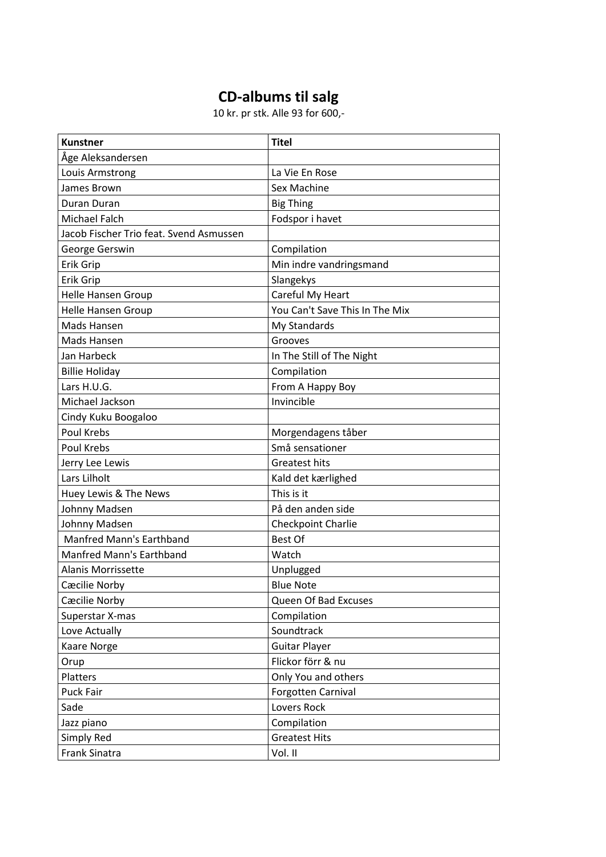## **CD-albums til salg**

10 kr. pr stk. Alle 93 for 600,-

| <b>Kunstner</b>                         | <b>Titel</b>                   |
|-----------------------------------------|--------------------------------|
| Åge Aleksandersen                       |                                |
| Louis Armstrong                         | La Vie En Rose                 |
| James Brown                             | Sex Machine                    |
| <b>Duran Duran</b>                      | <b>Big Thing</b>               |
| Michael Falch                           | Fodspor i havet                |
| Jacob Fischer Trio feat. Svend Asmussen |                                |
| George Gerswin                          | Compilation                    |
| Erik Grip                               | Min indre vandringsmand        |
| Erik Grip                               | Slangekys                      |
| Helle Hansen Group                      | Careful My Heart               |
| <b>Helle Hansen Group</b>               | You Can't Save This In The Mix |
| Mads Hansen                             | My Standards                   |
| Mads Hansen                             | Grooves                        |
| Jan Harbeck                             | In The Still of The Night      |
| <b>Billie Holiday</b>                   | Compilation                    |
| Lars H.U.G.                             | From A Happy Boy               |
| Michael Jackson                         | Invincible                     |
| Cindy Kuku Boogaloo                     |                                |
| Poul Krebs                              | Morgendagens tåber             |
| Poul Krebs                              | Små sensationer                |
| Jerry Lee Lewis                         | <b>Greatest hits</b>           |
| Lars Lilholt                            | Kald det kærlighed             |
| Huey Lewis & The News                   | This is it                     |
| Johnny Madsen                           | På den anden side              |
| Johnny Madsen                           | <b>Checkpoint Charlie</b>      |
| <b>Manfred Mann's Earthband</b>         | <b>Best Of</b>                 |
| <b>Manfred Mann's Earthband</b>         | Watch                          |
| <b>Alanis Morrissette</b>               | Unplugged                      |
| Cæcilie Norby                           | <b>Blue Note</b>               |
| Cæcilie Norby                           | Queen Of Bad Excuses           |
| Superstar X-mas                         | Compilation                    |
| Love Actually                           | Soundtrack                     |
| Kaare Norge                             | <b>Guitar Player</b>           |
| Orup                                    | Flickor förr & nu              |
| Platters                                | Only You and others            |
| Puck Fair                               | Forgotten Carnival             |
| Sade                                    | Lovers Rock                    |
| Jazz piano                              | Compilation                    |
| Simply Red                              | <b>Greatest Hits</b>           |
| Frank Sinatra                           | Vol. II                        |